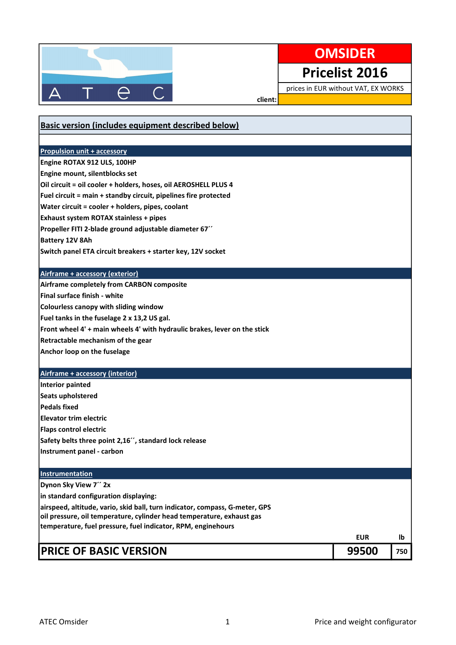

## **OMSIDER**

Pricelist 2016

prices in EUR without VAT, EX WORKS

٦

client:

| Basic version (includes equipment described below)                                                                                    |            |     |
|---------------------------------------------------------------------------------------------------------------------------------------|------------|-----|
|                                                                                                                                       |            |     |
| <b>Propulsion unit + accessory</b>                                                                                                    |            |     |
| Engine ROTAX 912 ULS, 100HP                                                                                                           |            |     |
| Engine mount, silentblocks set                                                                                                        |            |     |
| Oil circuit = oil cooler + holders, hoses, oil AEROSHELL PLUS 4                                                                       |            |     |
| Fuel circuit = main + standby circuit, pipelines fire protected                                                                       |            |     |
| Water circuit = cooler + holders, pipes, coolant                                                                                      |            |     |
| Exhaust system ROTAX stainless + pipes                                                                                                |            |     |
| Propeller FITI 2-blade ground adjustable diameter 67"                                                                                 |            |     |
| Battery 12V 8Ah                                                                                                                       |            |     |
| Switch panel ETA circuit breakers + starter key, 12V socket                                                                           |            |     |
|                                                                                                                                       |            |     |
| Airframe + accessory (exterior)                                                                                                       |            |     |
| Airframe completely from CARBON composite                                                                                             |            |     |
| Final surface finish - white                                                                                                          |            |     |
| Colourless canopy with sliding window                                                                                                 |            |     |
| Fuel tanks in the fuselage 2 x 13,2 US gal.                                                                                           |            |     |
| Front wheel 4' + main wheels 4' with hydraulic brakes, lever on the stick                                                             |            |     |
| Retractable mechanism of the gear                                                                                                     |            |     |
| Anchor loop on the fuselage                                                                                                           |            |     |
|                                                                                                                                       |            |     |
| <b>Airframe + accessory (interior)</b>                                                                                                |            |     |
| <b>Interior painted</b>                                                                                                               |            |     |
| Seats upholstered                                                                                                                     |            |     |
| <b>Pedals fixed</b>                                                                                                                   |            |     |
| <b>Elevator trim electric</b>                                                                                                         |            |     |
| <b>Flaps control electric</b>                                                                                                         |            |     |
| Safety belts three point 2,16", standard lock release                                                                                 |            |     |
| Instrument panel - carbon                                                                                                             |            |     |
|                                                                                                                                       |            |     |
| <b>Instrumentation</b>                                                                                                                |            |     |
| Dynon Sky View 7" 2x                                                                                                                  |            |     |
| in standard configuration displaying:                                                                                                 |            |     |
| airspeed, altitude, vario, skid ball, turn indicator, compass, G-meter, GPS                                                           |            |     |
| oil pressure, oil temperature, cylinder head temperature, exhaust gas<br>temperature, fuel pressure, fuel indicator, RPM, enginehours |            |     |
|                                                                                                                                       | <b>EUR</b> | lb  |
|                                                                                                                                       |            |     |
| <b>PRICE OF BASIC VERSION</b>                                                                                                         | 99500      | 750 |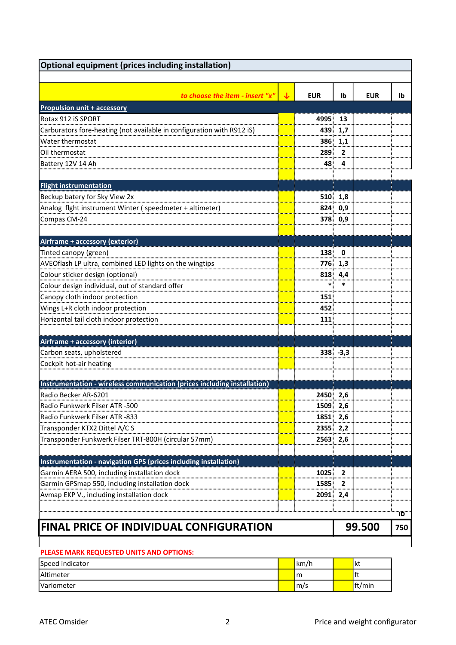| <b>Optional equipment (prices including installation)</b>                |              |            |                |            |     |
|--------------------------------------------------------------------------|--------------|------------|----------------|------------|-----|
| to choose the item - insert "x"                                          | $\downarrow$ | <b>EUR</b> | Ib             | <b>EUR</b> | lb  |
| <b>Propulsion unit + accessory</b>                                       |              |            |                |            |     |
| Rotax 912 iS SPORT                                                       |              | 4995       | 13             |            |     |
| Carburators fore-heating (not available in configuration with R912 iS)   |              | 439        | 1,7            |            |     |
| Water thermostat                                                         |              | 386        | 1,1            |            |     |
| Oil thermostat                                                           |              | 289        | $\overline{2}$ |            |     |
| Battery 12V 14 Ah                                                        |              | 48.        | 4              |            |     |
| <b>Flight instrumentation</b>                                            |              |            |                |            |     |
| Beckup batery for Sky View 2x                                            |              | 510        | 1,8            |            |     |
| Analog flght instrument Winter (speedmeter + altimeter)                  |              | 824        | 0,9            |            |     |
| Compas CM-24                                                             |              |            | 378 0,9        |            |     |
| Airframe + accessory (exterior)                                          |              |            |                |            |     |
| Tinted canopy (green)                                                    |              | 138        | 0              |            |     |
| AVEOflash LP ultra, combined LED lights on the wingtips                  |              | 776        | 1,3            |            |     |
| Colour sticker design (optional)                                         |              | 818        | 4,4            |            |     |
| Colour design individual, out of standard offer                          |              | $\ast$     | $\ast$         |            |     |
| Canopy cloth indoor protection                                           |              | 151        |                |            |     |
| Wings L+R cloth indoor protection                                        |              | 452        |                |            |     |
| Horizontal tail cloth indoor protection                                  |              | 111        |                |            |     |
|                                                                          |              |            |                |            |     |
| Airframe + accessory (interior)                                          |              |            |                |            |     |
| Carbon seats, upholstered                                                |              |            | $338 - 3,3$    |            |     |
| Cockpit hot-air heating                                                  |              |            |                |            |     |
| Instrumentation - wireless communication (prices including installation) |              |            |                |            |     |
| Radio Becker AR-6201                                                     |              | 2450 2,6   |                |            |     |
| Radio Funkwerk Filser ATR -500                                           |              | 1509       | 2,6            |            |     |
| Radio Funkwerk Filser ATR -833                                           |              | 1851       | 2,6            |            |     |
| Transponder KTX2 Dittel A/C S                                            |              | 2355       | 2,2            |            |     |
| Transponder Funkwerk Filser TRT-800H (circular 57mm)                     |              | 2563       | 2,6            |            |     |
| Instrumentation - navigation GPS (prices including installation)         |              |            |                |            |     |
| Garmin AERA 500, including installation dock                             |              | 1025       | $\mathbf{2}$   |            |     |
| Garmin GPSmap 550, including installation dock                           |              | 1585       | 2              |            |     |
| Avmap EKP V., including installation dock                                |              | 2091       | 2,4            |            |     |
|                                                                          |              |            |                |            | ΪÖ  |
| <b>FINAL PRICE OF INDIVIDUAL CONFIGURATION</b>                           |              |            |                | 99.500     | 750 |
|                                                                          |              |            |                |            |     |

## PLEASE MARK REQUESTED UNITS AND OPTIONS:

| Speed indicator   | km/h | ٦kι    |
|-------------------|------|--------|
| Altimeter         | m    | .      |
| <b>Variometer</b> | m/s  | ft/min |